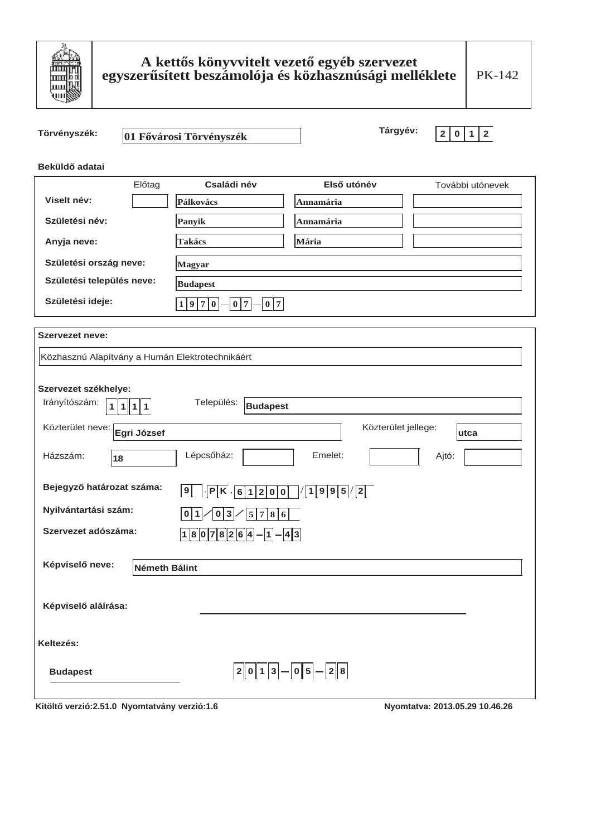

# A kettős könyvvitelt vezető egyéb szervezet<br>egyszerűsített beszámolója és közhasznúsági melléklete

| Törvényszék:                                               | 01 Fővárosi Törvényszék                                       | Tárgyév:                        | $\overline{2}$<br>$\mathbf{2}$<br>$\mathbf 0$<br>${\bf 1}$ |  |
|------------------------------------------------------------|---------------------------------------------------------------|---------------------------------|------------------------------------------------------------|--|
| Beküldő adatai                                             |                                                               |                                 |                                                            |  |
| Előtag                                                     | Családi név                                                   | Első utónév                     | További utónevek                                           |  |
| Viselt név:                                                | Pálkovács                                                     | Annamária                       |                                                            |  |
| Születési név:                                             | Panyik                                                        | Annamária                       |                                                            |  |
| Anyja neve:                                                | <b>Takács</b>                                                 | Mária                           |                                                            |  |
| Születési ország neve:                                     | <b>Magyar</b>                                                 |                                 |                                                            |  |
| Születési település neve:                                  | <b>Budapest</b>                                               |                                 |                                                            |  |
| Születési ideje:                                           | $1 9 7 0 $ $- 0 7 $ $- 0 7 $                                  |                                 |                                                            |  |
| <b>Szervezet neve:</b>                                     |                                                               |                                 |                                                            |  |
| Közhasznú Alapítvány a Humán Elektrotechnikáért            |                                                               |                                 |                                                            |  |
| Szervezet székhelye:<br>Irányítószám:<br>$1\vert$<br>1 1 1 | Település:<br><b>Budapest</b>                                 |                                 |                                                            |  |
| Közterület neve:<br>Egri József                            |                                                               | Közterület jellege:             | utca                                                       |  |
| Házszám:<br>18                                             | Lépcsőház:                                                    | Emelet:                         | Ajtó:                                                      |  |
| Bejegyző határozat száma:                                  | 9                                                             | $P$ K. 61200 /1995/2            |                                                            |  |
| Nyilvántartási szám:                                       | 0 3 <br>$\overline{0} 1 $<br>$\left 5\right 7\left 8\right 6$ |                                 |                                                            |  |
| Szervezet adószáma:                                        | $18078264 - 1 - 43$                                           |                                 |                                                            |  |
| Képviselő neve:<br>Németh Bálint                           |                                                               |                                 |                                                            |  |
| Képviselő aláírása:                                        |                                                               |                                 |                                                            |  |
| Keltezés:                                                  |                                                               |                                 |                                                            |  |
| <b>Budapest</b>                                            |                                                               | $ 2 0 1 3 $ - $ 0 5 $ - $ 2 8 $ |                                                            |  |
|                                                            |                                                               |                                 | <b>0010</b>                                                |  |

Kitöltő verzió:2.51.0 Nyomtatvány verzió:1.6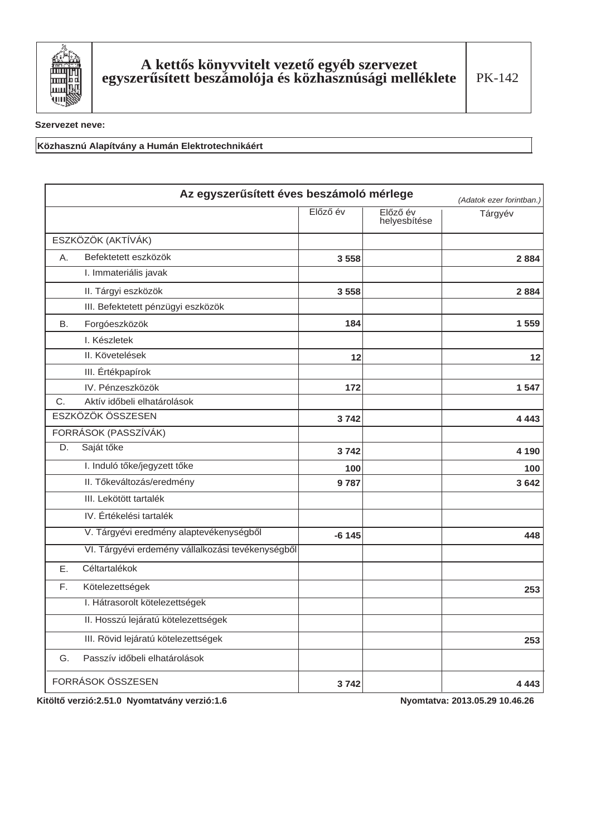

Közhasznú Alapítvány a Humán Elektrotechnikáért

|           | Az egyszerűsített éves beszámoló mérlege          |          |                          | (Adatok ezer forintban.) |
|-----------|---------------------------------------------------|----------|--------------------------|--------------------------|
|           |                                                   | Előző év | Előző év<br>helyesbítése | Tárgyév                  |
|           | ESZKÖZÖK (AKTÍVÁK)                                |          |                          |                          |
| A.        | Befektetett eszközök                              | 3558     |                          | 2 8 8 4                  |
|           | I. Immateriális javak                             |          |                          |                          |
|           | II. Tárgyi eszközök                               | 3558     |                          | 2884                     |
|           | III. Befektetett pénzügyi eszközök                |          |                          |                          |
| <b>B.</b> | Forgóeszközök                                     | 184      |                          | 1559                     |
|           | I. Készletek                                      |          |                          |                          |
|           | II. Követelések                                   | 12       |                          | 12                       |
|           | III. Értékpapírok                                 |          |                          |                          |
|           | IV. Pénzeszközök                                  | 172      |                          | 1547                     |
| C.        | Aktív időbeli elhatárolások                       |          |                          |                          |
|           | ESZKÖZÖK ÖSSZESEN                                 | 3742     |                          | 4 4 4 3                  |
|           | FORRÁSOK (PASSZÍVÁK)                              |          |                          |                          |
| D.        | Saját tőke                                        | 3742     |                          | 4 1 9 0                  |
|           | I. Induló tőke/jegyzett tőke                      | 100      |                          | 100                      |
|           | II. Tőkeváltozás/eredmény                         | 9787     |                          | 3 6 4 2                  |
|           | III. Lekötött tartalék                            |          |                          |                          |
|           | IV. Értékelési tartalék                           |          |                          |                          |
|           | V. Tárgyévi eredmény alaptevékenységből           | $-6145$  |                          | 448                      |
|           | VI. Tárgyévi erdemény vállalkozási tevékenységből |          |                          |                          |
| Ε.        | Céltartalékok                                     |          |                          |                          |
| F.        | Kötelezettségek                                   |          |                          | 253                      |
|           | I. Hátrasorolt kötelezettségek                    |          |                          |                          |
|           | II. Hosszú lejáratú kötelezettségek               |          |                          |                          |
|           | III. Rövid lejáratú kötelezettségek               |          |                          | 253                      |
| G.        | Passzív időbeli elhatárolások                     |          |                          |                          |
|           | FORRÁSOK ÖSSZESEN                                 | 3742     |                          | 4 4 4 3                  |

Kitöltő verzió: 2.51.0 Nyomtatvány verzió: 1.6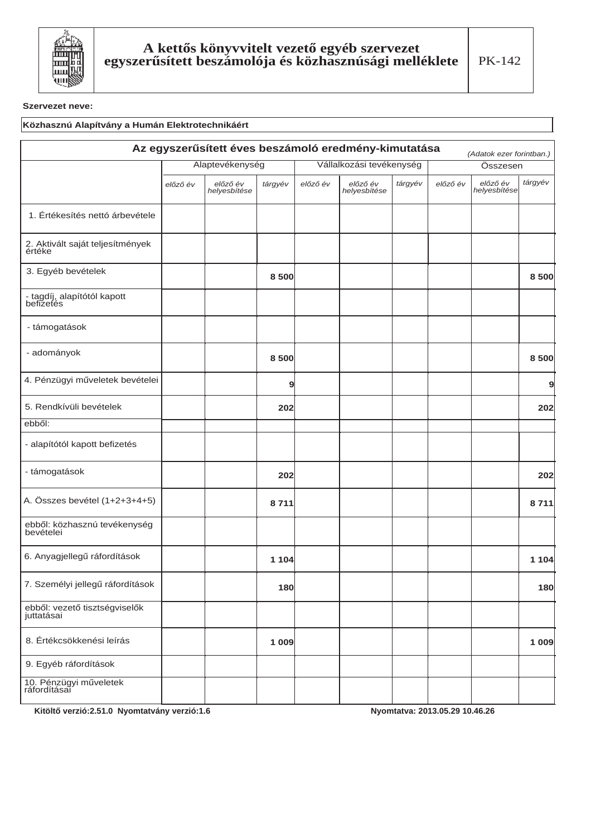

## Közhasznú Alapítvány a Humán Elektrotechnikáért

| Az egyszerűsített éves beszámoló eredmény-kimutatása<br>(Adatok ezer forintban.) |                 |                          |         |                          |                          |         |          |                          |         |
|----------------------------------------------------------------------------------|-----------------|--------------------------|---------|--------------------------|--------------------------|---------|----------|--------------------------|---------|
|                                                                                  | Alaptevékenység |                          |         | Vállalkozási tevékenység |                          |         | Összesen |                          |         |
|                                                                                  | előző év        | előző év<br>helyesbítése | tárgyév | előző év                 | előző év<br>helyesbítése | tárgyév | előző év | előző év<br>helyesbítése | tárgyév |
| 1. Értékesítés nettó árbevétele                                                  |                 |                          |         |                          |                          |         |          |                          |         |
| 2. Aktivált saját teljesítmények<br>értéke                                       |                 |                          |         |                          |                          |         |          |                          |         |
| 3. Egyéb bevételek                                                               |                 |                          | 8500    |                          |                          |         |          |                          | 8500    |
| - tagdíj, alapítótól kapott<br>befizetés                                         |                 |                          |         |                          |                          |         |          |                          |         |
| - támogatások                                                                    |                 |                          |         |                          |                          |         |          |                          |         |
| - adományok                                                                      |                 |                          | 8500    |                          |                          |         |          |                          | 8500    |
| 4. Pénzügyi műveletek bevételei                                                  |                 |                          | 9       |                          |                          |         |          |                          | 9       |
| 5. Rendkívüli bevételek                                                          |                 |                          | 202     |                          |                          |         |          |                          | 202     |
| ebből:                                                                           |                 |                          |         |                          |                          |         |          |                          |         |
| - alapítótól kapott befizetés                                                    |                 |                          |         |                          |                          |         |          |                          |         |
| - támogatások                                                                    |                 |                          | 202     |                          |                          |         |          |                          | 202     |
| A. Összes bevétel (1+2+3+4+5)                                                    |                 |                          | 8711    |                          |                          |         |          |                          | 8711    |
| ebből: közhasznú tevékenység<br>bevételei                                        |                 |                          |         |                          |                          |         |          |                          |         |
| 6. Anyagjellegű ráfordítások                                                     |                 |                          | 1 1 0 4 |                          |                          |         |          |                          | 1 1 0 4 |
| 7. Személyi jellegű ráfordítások                                                 |                 |                          | 180     |                          |                          |         |          |                          | 180     |
| ebből: vezető tisztségviselők<br>juttatásai                                      |                 |                          |         |                          |                          |         |          |                          |         |
| 8. Értékcsökkenési leírás                                                        |                 |                          | 1 0 0 9 |                          |                          |         |          |                          | 1 0 0 9 |
| 9. Egyéb ráfordítások                                                            |                 |                          |         |                          |                          |         |          |                          |         |
| 10. Pénzügyi műveletek<br>ráfordításai                                           |                 |                          |         |                          |                          |         |          |                          |         |

Kitöltő verzió:2.51.0 Nyomtatvány verzió:1.6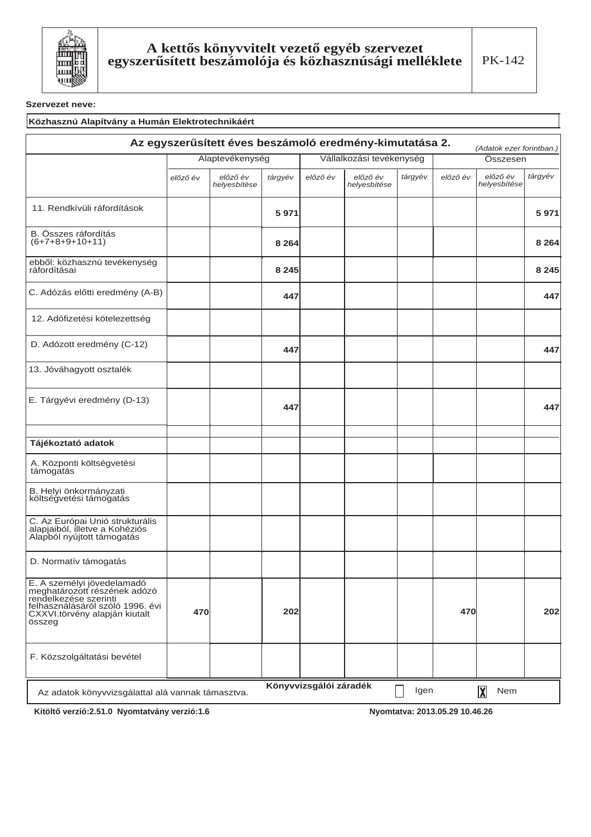

#### Közhasznú Alapítvány a Humán Elektrotechnikáért Az egyszerűsített éves beszámoló eredmény-kimutatása 2. (Adatok ezer forintban.) Alaptevékenység Vállalkozási tevékenység Összesen előző év tárgyév előző év előző év<br>helyesbítése tárgyév előző év előző év<br>helyesbítése tárgyév előző év helyesbítése 11. Rendkívüli ráfordítások 5971 5971 B. Összes ráfordítás<br>(6+7+8+9+10+11) 8 2 6 4 8 2 6 4 ebből: közhasznú tevékenység ráfordításai 8 2 4 5 8 2 4 5 C. Adózás előtti eredmény (A-B) 447 447 12. Adófizetési kötelezettség D. Adózott eredmény (C-12) 447 447 13. Jóváhagyott osztalék E. Tárgyévi eredmény (D-13) 447 447 Tájékoztató adatok A. Központi költségvetési támogatás B. Helyi önkormányzati költségvetési támogatás C. Az Európai Unió strukturális<br>alapjaiból, illetve a Kohéziós Alapból nyújtott támogatás D. Normatív támogatás E. A személyi jövedelamadó<br>meghatározott részének adózó rendelkezése szerinti felhasználásáról szóló 1996. évi<br>CXXVI.törvény alapján kiutalt 202 470 202 470 összeg F. Közszolgáltatási bevétel Könyvvizsgálói záradék Igen  $\overline{\mathbf{X}}$ Nem Az adatok könyvvizsgálattal alá vannak támasztva.

Kitöltő verzió:2.51.0 Nyomtatvány verzió:1.6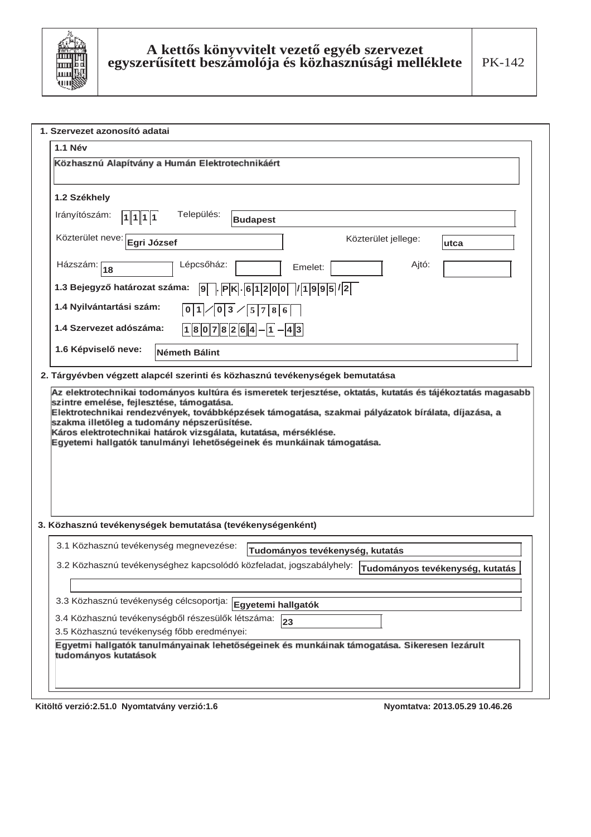

| <b>1.1 Név</b>                                                                                                      |      |
|---------------------------------------------------------------------------------------------------------------------|------|
|                                                                                                                     |      |
| Közhasznú Alapítvány a Humán Elektrotechnikáért                                                                     |      |
|                                                                                                                     |      |
| 1.2 Székhely                                                                                                        |      |
| Település:<br>Irányítószám:<br>1 1 1 1<br><b>Budapest</b>                                                           |      |
| Közterület neve: Egri József<br>Közterület jellege:                                                                 | utca |
| Lépcsőház:<br>Házszám:<br>Ajtó:<br>Emelet:<br>18                                                                    |      |
| 1.3 Bejegyző határozat száma:<br>9. PK.61200/1995/2                                                                 |      |
| 1.4 Nyilvántartási szám:<br> 3 <br>0 1 <br>0<br>5 7 <br>8 6                                                         |      |
| 1.4 Szervezet adószáma:<br>$18078264-1-43$                                                                          |      |
| 1.6 Képviselő neve:<br><b>Németh Bálint</b>                                                                         |      |
| 2. Tárgyévben végzett alapcél szerinti és közhasznú tevékenységek bemutatása                                        |      |
|                                                                                                                     |      |
|                                                                                                                     |      |
|                                                                                                                     |      |
| 3.1 Közhasznú tevékenység megnevezése:<br>Tudományos tevékenység, kutatás                                           |      |
| 3.2 Közhasznú tevékenységhez kapcsolódó közfeladat, jogszabályhely: Tudományos tevékenység, kutatás                 |      |
|                                                                                                                     |      |
| 3.3 Közhasznú tevékenység célcsoportja: Egyetemi hallgatók<br>3.4 Közhasznú tevékenységből részesülők létszáma:     |      |
| 3. Közhasznú tevékenységek bemutatása (tevékenységenként)<br>23<br>3.5 Közhasznú tevékenység főbb eredményei:       |      |
| Egyetmi hallgatók tanulmányainak lehetőségeinek és munkáinak támogatása. Sikeresen lezárult<br>tudományos kutatások |      |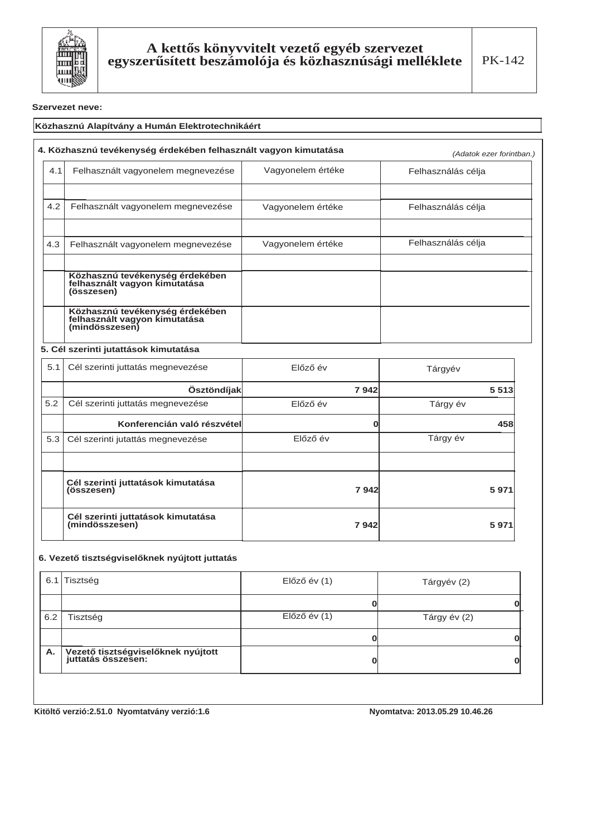

## Közhasznú Alapítvány a Humán Elektrotechnikáért

|     | 4. Közhasznú tevékenység érdekében felhasznált vagyon kimutatása                   | (Adatok ezer forintban.) |                    |
|-----|------------------------------------------------------------------------------------|--------------------------|--------------------|
| 4.1 | Felhasznált vagyonelem megnevezése                                                 | Vagyonelem értéke        | Felhasználás célja |
|     |                                                                                    |                          |                    |
| 4.2 | Felhasznált vagyonelem megnevezése                                                 | Vagyonelem értéke        | Felhasználás célja |
|     |                                                                                    |                          |                    |
| 4.3 | Felhasznált vagyonelem megnevezése                                                 | Vagyonelem értéke        | Felhasználás célja |
|     |                                                                                    |                          |                    |
|     | Közhasznú tevékenység érdekében<br>felhasznált vagyon kimutatása<br>(összesen)     |                          |                    |
|     | Közhasznú tevékenység érdekében<br>felhasznált vagyon kimutatása<br>(mindösszesen) |                          |                    |

### **5. Cél szerinti jutattások kimutatása**

| 5.1 | Cél szerinti juttatás megnevezése                    | Előző év | Tárgyév  |
|-----|------------------------------------------------------|----------|----------|
|     | Ösztöndíjak                                          | 7942     | 5 5 1 3  |
| 5.2 | Cél szerinti juttatás megnevezése                    | Előző év | Tárgy év |
|     | Konferencián való részvétel                          |          | 458      |
| 5.3 | Cél szerinti jutattás megnevezése                    | Előző év | Tárgy év |
|     |                                                      |          |          |
|     | Cél szerinti juttatások kimutatása<br>(összesen)     | 7942     | 5971     |
|     | Cél szerinti juttatások kimutatása<br>(mindösszesen) | 7942     | 5971     |

## 6. Vezető tisztségviselőknek nyújtott juttatás

|     | 6.1 Tisztség                                             | $El$ őző év $(1)$ | Tárgyév (2)  |
|-----|----------------------------------------------------------|-------------------|--------------|
|     |                                                          |                   |              |
| 6.2 | Tisztség                                                 | $El$ őző év $(1)$ | Tárgy év (2) |
|     |                                                          |                   |              |
| Α.  | Vezető tisztségviselőknek nyújtott<br>juttatás összesen: |                   | O            |

Kitöltő verzió:2.51.0 Nyomtatvány verzió:1.6 **bizterinden alapítat alamazzat alapítat alapítat alapítat alapítat a**